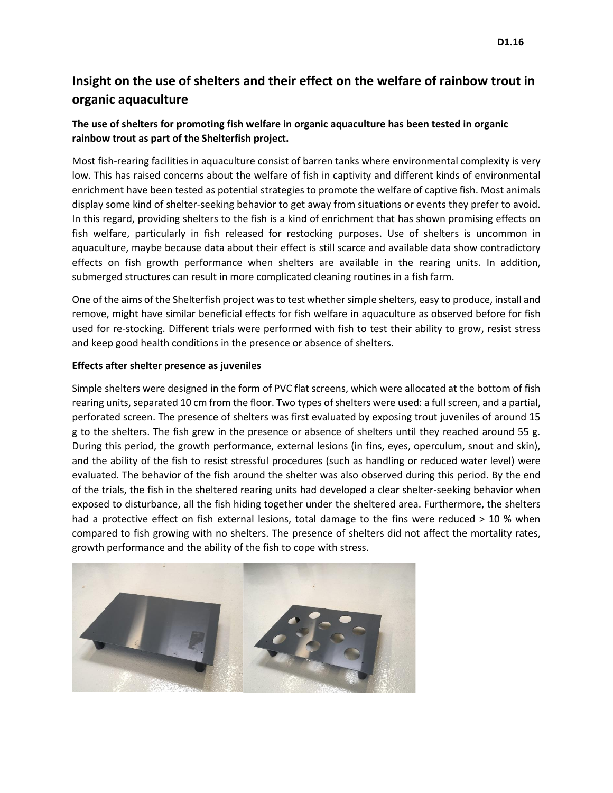# **Insight on the use of shelters and their effect on the welfare of rainbow trout in organic aquaculture**

# **The use of shelters for promoting fish welfare in organic aquaculture has been tested in organic rainbow trout as part of the Shelterfish project.**

Most fish-rearing facilities in aquaculture consist of barren tanks where environmental complexity is very low. This has raised concerns about the welfare of fish in captivity and different kinds of environmental enrichment have been tested as potential strategies to promote the welfare of captive fish. Most animals display some kind of shelter-seeking behavior to get away from situations or events they prefer to avoid. In this regard, providing shelters to the fish is a kind of enrichment that has shown promising effects on fish welfare, particularly in fish released for restocking purposes. Use of shelters is uncommon in aquaculture, maybe because data about their effect is still scarce and available data show contradictory effects on fish growth performance when shelters are available in the rearing units. In addition, submerged structures can result in more complicated cleaning routines in a fish farm.

One of the aims of the Shelterfish project was to test whether simple shelters, easy to produce, install and remove, might have similar beneficial effects for fish welfare in aquaculture as observed before for fish used for re-stocking. Different trials were performed with fish to test their ability to grow, resist stress and keep good health conditions in the presence or absence of shelters.

# **Effects after shelter presence as juveniles**

Simple shelters were designed in the form of PVC flat screens, which were allocated at the bottom of fish rearing units, separated 10 cm from the floor. Two types of shelters were used: a full screen, and a partial, perforated screen. The presence of shelters was first evaluated by exposing trout juveniles of around 15 g to the shelters. The fish grew in the presence or absence of shelters until they reached around 55 g. During this period, the growth performance, external lesions (in fins, eyes, operculum, snout and skin), and the ability of the fish to resist stressful procedures (such as handling or reduced water level) were evaluated. The behavior of the fish around the shelter was also observed during this period. By the end of the trials, the fish in the sheltered rearing units had developed a clear shelter-seeking behavior when exposed to disturbance, all the fish hiding together under the sheltered area. Furthermore, the shelters had a protective effect on fish external lesions, total damage to the fins were reduced > 10 % when compared to fish growing with no shelters. The presence of shelters did not affect the mortality rates, growth performance and the ability of the fish to cope with stress.